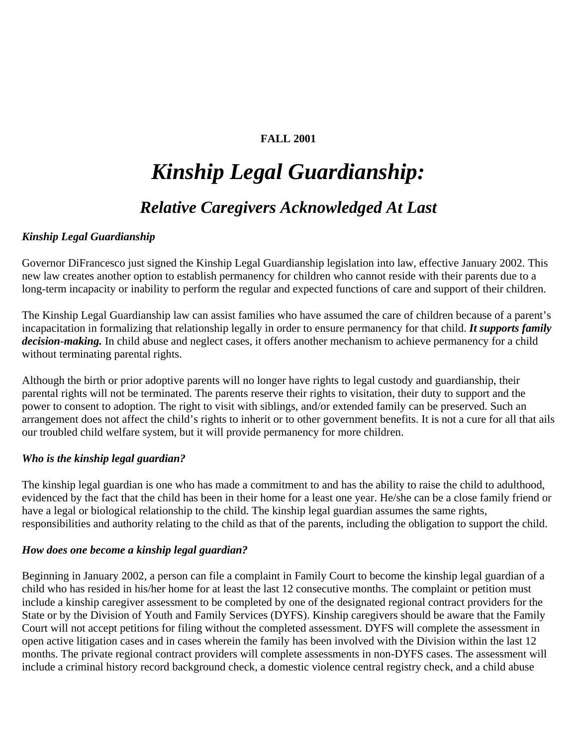# **FALL 2001**

# *Kinship Legal Guardianship: Relative Caregivers Acknowledged At Last*

# *Kinship Legal Guardianship*

Governor DiFrancesco just signed the Kinship Legal Guardianship legislation into law, effective January 2002. This new law creates another option to establish permanency for children who cannot reside with their parents due to a long-term incapacity or inability to perform the regular and expected functions of care and support of their children.

The Kinship Legal Guardianship law can assist families who have assumed the care of children because of a parent's incapacitation in formalizing that relationship legally in order to ensure permanency for that child. *It supports family decision-making.* In child abuse and neglect cases, it offers another mechanism to achieve permanency for a child without terminating parental rights.

Although the birth or prior adoptive parents will no longer have rights to legal custody and guardianship, their parental rights will not be terminated. The parents reserve their rights to visitation, their duty to support and the power to consent to adoption. The right to visit with siblings, and/or extended family can be preserved. Such an arrangement does not affect the child's rights to inherit or to other government benefits. It is not a cure for all that ails our troubled child welfare system, but it will provide permanency for more children.

#### *Who is the kinship legal guardian?*

The kinship legal guardian is one who has made a commitment to and has the ability to raise the child to adulthood, evidenced by the fact that the child has been in their home for a least one year. He/she can be a close family friend or have a legal or biological relationship to the child. The kinship legal guardian assumes the same rights, responsibilities and authority relating to the child as that of the parents, including the obligation to support the child.

#### *How does one become a kinship legal guardian?*

Beginning in January 2002, a person can file a complaint in Family Court to become the kinship legal guardian of a child who has resided in his/her home for at least the last 12 consecutive months. The complaint or petition must include a kinship caregiver assessment to be completed by one of the designated regional contract providers for the State or by the Division of Youth and Family Services (DYFS). Kinship caregivers should be aware that the Family Court will not accept petitions for filing without the completed assessment. DYFS will complete the assessment in open active litigation cases and in cases wherein the family has been involved with the Division within the last 12 months. The private regional contract providers will complete assessments in non-DYFS cases. The assessment will include a criminal history record background check, a domestic violence central registry check, and a child abuse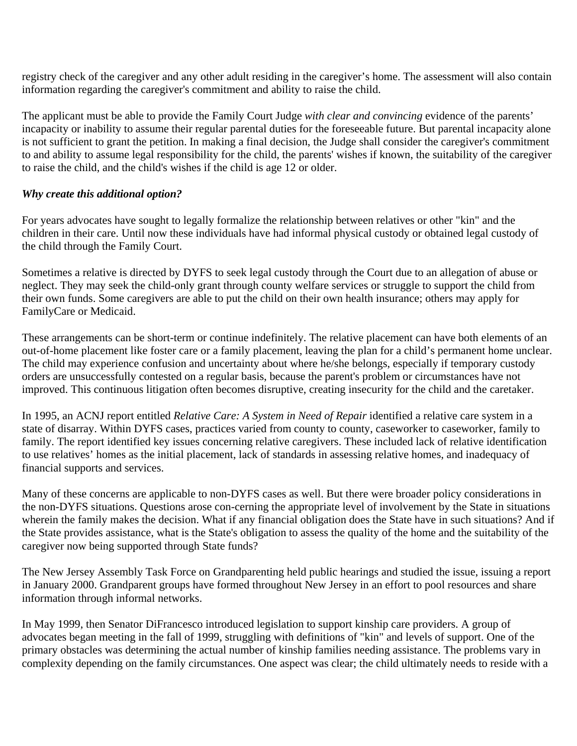registry check of the caregiver and any other adult residing in the caregiver's home. The assessment will also contain information regarding the caregiver's commitment and ability to raise the child.

The applicant must be able to provide the Family Court Judge *with clear and convincing* evidence of the parents' incapacity or inability to assume their regular parental duties for the foreseeable future. But parental incapacity alone is not sufficient to grant the petition. In making a final decision, the Judge shall consider the caregiver's commitment to and ability to assume legal responsibility for the child, the parents' wishes if known, the suitability of the caregiver to raise the child, and the child's wishes if the child is age 12 or older.

#### *Why create this additional option?*

For years advocates have sought to legally formalize the relationship between relatives or other "kin" and the children in their care. Until now these individuals have had informal physical custody or obtained legal custody of the child through the Family Court.

Sometimes a relative is directed by DYFS to seek legal custody through the Court due to an allegation of abuse or neglect. They may seek the child-only grant through county welfare services or struggle to support the child from their own funds. Some caregivers are able to put the child on their own health insurance; others may apply for FamilyCare or Medicaid.

These arrangements can be short-term or continue indefinitely. The relative placement can have both elements of an out-of-home placement like foster care or a family placement, leaving the plan for a child's permanent home unclear. The child may experience confusion and uncertainty about where he/she belongs, especially if temporary custody orders are unsuccessfully contested on a regular basis, because the parent's problem or circumstances have not improved. This continuous litigation often becomes disruptive, creating insecurity for the child and the caretaker.

In 1995, an ACNJ report entitled *Relative Care: A System in Need of Repair* identified a relative care system in a state of disarray. Within DYFS cases, practices varied from county to county, caseworker to caseworker, family to family. The report identified key issues concerning relative caregivers. These included lack of relative identification to use relatives' homes as the initial placement, lack of standards in assessing relative homes, and inadequacy of financial supports and services.

Many of these concerns are applicable to non-DYFS cases as well. But there were broader policy considerations in the non-DYFS situations. Questions arose con-cerning the appropriate level of involvement by the State in situations wherein the family makes the decision. What if any financial obligation does the State have in such situations? And if the State provides assistance, what is the State's obligation to assess the quality of the home and the suitability of the caregiver now being supported through State funds?

The New Jersey Assembly Task Force on Grandparenting held public hearings and studied the issue, issuing a report in January 2000. Grandparent groups have formed throughout New Jersey in an effort to pool resources and share information through informal networks.

In May 1999, then Senator DiFrancesco introduced legislation to support kinship care providers. A group of advocates began meeting in the fall of 1999, struggling with definitions of "kin" and levels of support. One of the primary obstacles was determining the actual number of kinship families needing assistance. The problems vary in complexity depending on the family circumstances. One aspect was clear; the child ultimately needs to reside with a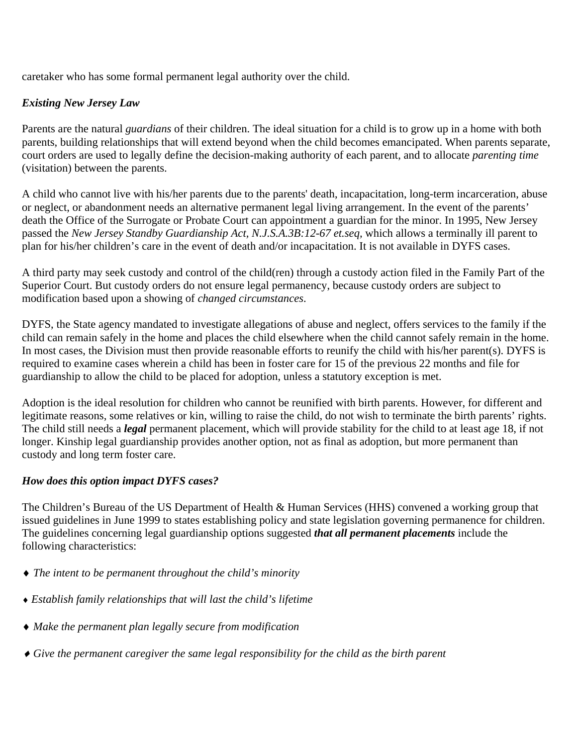caretaker who has some formal permanent legal authority over the child.

# *Existing New Jersey Law*

Parents are the natural *guardians* of their children. The ideal situation for a child is to grow up in a home with both parents, building relationships that will extend beyond when the child becomes emancipated. When parents separate, court orders are used to legally define the decision-making authority of each parent, and to allocate *parenting time* (visitation) between the parents.

A child who cannot live with his/her parents due to the parents' death, incapacitation, long-term incarceration, abuse or neglect, or abandonment needs an alternative permanent legal living arrangement. In the event of the parents' death the Office of the Surrogate or Probate Court can appointment a guardian for the minor. In 1995, New Jersey passed the *New Jersey Standby Guardianship Act, N.J.S.A.3B:12-67 et.seq,* which allows a terminally ill parent to plan for his/her children's care in the event of death and/or incapacitation. It is not available in DYFS cases.

A third party may seek custody and control of the child(ren) through a custody action filed in the Family Part of the Superior Court. But custody orders do not ensure legal permanency, because custody orders are subject to modification based upon a showing of *changed circumstances*.

DYFS, the State agency mandated to investigate allegations of abuse and neglect, offers services to the family if the child can remain safely in the home and places the child elsewhere when the child cannot safely remain in the home. In most cases, the Division must then provide reasonable efforts to reunify the child with his/her parent(s). DYFS is required to examine cases wherein a child has been in foster care for 15 of the previous 22 months and file for guardianship to allow the child to be placed for adoption, unless a statutory exception is met.

Adoption is the ideal resolution for children who cannot be reunified with birth parents. However, for different and legitimate reasons, some relatives or kin, willing to raise the child, do not wish to terminate the birth parents' rights. The child still needs a *legal* permanent placement, which will provide stability for the child to at least age 18, if not longer. Kinship legal guardianship provides another option, not as final as adoption, but more permanent than custody and long term foster care.

# *How does this option impact DYFS cases?*

The Children's Bureau of the US Department of Health & Human Services (HHS) convened a working group that issued guidelines in June 1999 to states establishing policy and state legislation governing permanence for children. The guidelines concerning legal guardianship options suggested *that all permanent placements* include the following characteristics:

- ♦ *The intent to be permanent throughout the child's minority*
- ♦ *Establish family relationships that will last the child's lifetime*
- ♦ *Make the permanent plan legally secure from modification*
- ♦ *Give the permanent caregiver the same legal responsibility for the child as the birth parent*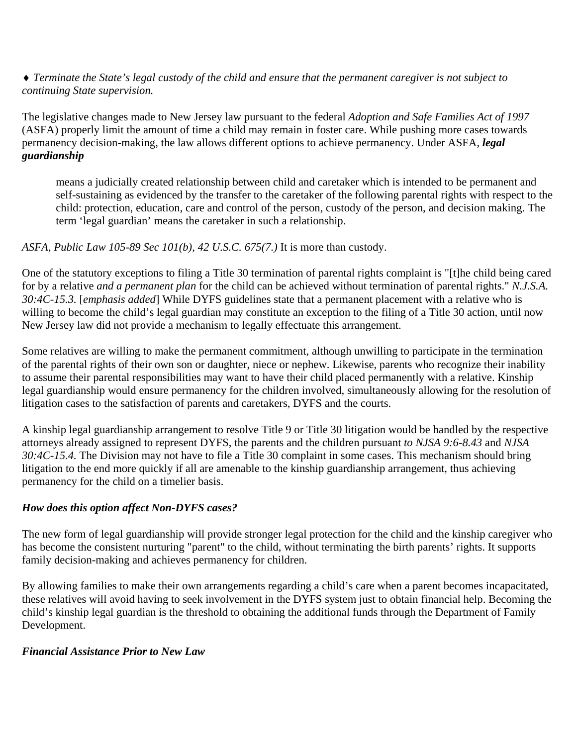♦ *Terminate the State's legal custody of the child and ensure that the permanent caregiver is not subject to continuing State supervision.* 

The legislative changes made to New Jersey law pursuant to the federal *Adoption and Safe Families Act of 1997* (ASFA) properly limit the amount of time a child may remain in foster care. While pushing more cases towards permanency decision-making, the law allows different options to achieve permanency. Under ASFA, *legal guardianship*

means a judicially created relationship between child and caretaker which is intended to be permanent and self-sustaining as evidenced by the transfer to the caretaker of the following parental rights with respect to the child: protection, education, care and control of the person, custody of the person, and decision making. The term 'legal guardian' means the caretaker in such a relationship.

#### *ASFA, Public Law 105-89 Sec 101(b), 42 U.S.C. 675(7.)* It is more than custody.

One of the statutory exceptions to filing a Title 30 termination of parental rights complaint is "[t]he child being cared for by a relative *and a permanent plan* for the child can be achieved without termination of parental rights." *N.J.S.A. 30:4C-15.3.* [*emphasis added*] While DYFS guidelines state that a permanent placement with a relative who is willing to become the child's legal guardian may constitute an exception to the filing of a Title 30 action, until now New Jersey law did not provide a mechanism to legally effectuate this arrangement.

Some relatives are willing to make the permanent commitment, although unwilling to participate in the termination of the parental rights of their own son or daughter, niece or nephew. Likewise, parents who recognize their inability to assume their parental responsibilities may want to have their child placed permanently with a relative. Kinship legal guardianship would ensure permanency for the children involved, simultaneously allowing for the resolution of litigation cases to the satisfaction of parents and caretakers, DYFS and the courts.

A kinship legal guardianship arrangement to resolve Title 9 or Title 30 litigation would be handled by the respective attorneys already assigned to represent DYFS, the parents and the children pursuant *to NJSA 9:6-8.43* and *NJSA 30:4C-15.4.* The Division may not have to file a Title 30 complaint in some cases. This mechanism should bring litigation to the end more quickly if all are amenable to the kinship guardianship arrangement, thus achieving permanency for the child on a timelier basis.

# *How does this option affect Non-DYFS cases?*

The new form of legal guardianship will provide stronger legal protection for the child and the kinship caregiver who has become the consistent nurturing "parent" to the child, without terminating the birth parents' rights. It supports family decision-making and achieves permanency for children.

By allowing families to make their own arrangements regarding a child's care when a parent becomes incapacitated, these relatives will avoid having to seek involvement in the DYFS system just to obtain financial help. Becoming the child's kinship legal guardian is the threshold to obtaining the additional funds through the Department of Family Development.

#### *Financial Assistance Prior to New Law*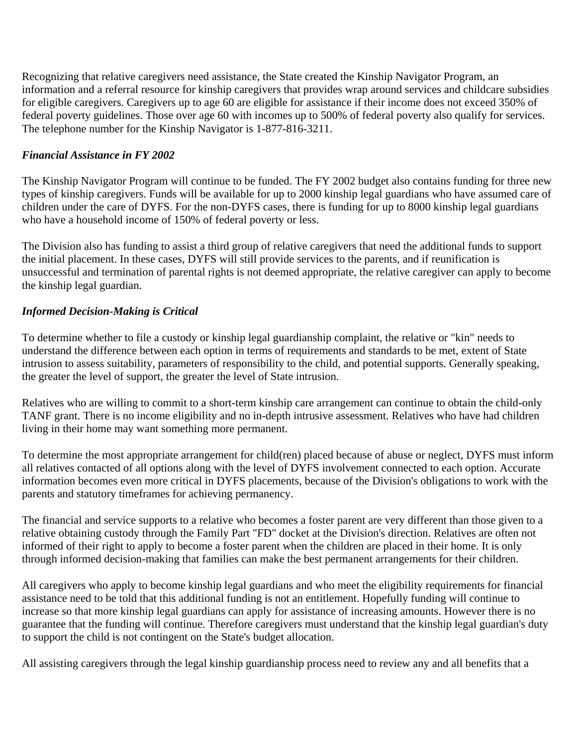Recognizing that relative caregivers need assistance, the State created the Kinship Navigator Program, an information and a referral resource for kinship caregivers that provides wrap around services and childcare subsidies for eligible caregivers. Caregivers up to age 60 are eligible for assistance if their income does not exceed 350% of federal poverty guidelines. Those over age 60 with incomes up to 500% of federal poverty also qualify for services. The telephone number for the Kinship Navigator is 1-877-816-3211.

### *Financial Assistance in FY 2002*

The Kinship Navigator Program will continue to be funded. The FY 2002 budget also contains funding for three new types of kinship caregivers. Funds will be available for up to 2000 kinship legal guardians who have assumed care of children under the care of DYFS. For the non-DYFS cases, there is funding for up to 8000 kinship legal guardians who have a household income of 150% of federal poverty or less.

The Division also has funding to assist a third group of relative caregivers that need the additional funds to support the initial placement. In these cases, DYFS will still provide services to the parents, and if reunification is unsuccessful and termination of parental rights is not deemed appropriate, the relative caregiver can apply to become the kinship legal guardian.

#### *Informed Decision-Making is Critical*

To determine whether to file a custody or kinship legal guardianship complaint, the relative or "kin" needs to understand the difference between each option in terms of requirements and standards to be met, extent of State intrusion to assess suitability, parameters of responsibility to the child, and potential supports. Generally speaking, the greater the level of support, the greater the level of State intrusion.

Relatives who are willing to commit to a short-term kinship care arrangement can continue to obtain the child-only TANF grant. There is no income eligibility and no in-depth intrusive assessment. Relatives who have had children living in their home may want something more permanent.

To determine the most appropriate arrangement for child(ren) placed because of abuse or neglect, DYFS must inform all relatives contacted of all options along with the level of DYFS involvement connected to each option. Accurate information becomes even more critical in DYFS placements, because of the Division's obligations to work with the parents and statutory timeframes for achieving permanency.

The financial and service supports to a relative who becomes a foster parent are very different than those given to a relative obtaining custody through the Family Part "FD" docket at the Division's direction. Relatives are often not informed of their right to apply to become a foster parent when the children are placed in their home. It is only through informed decision-making that families can make the best permanent arrangements for their children.

All caregivers who apply to become kinship legal guardians and who meet the eligibility requirements for financial assistance need to be told that this additional funding is not an entitlement. Hopefully funding will continue to increase so that more kinship legal guardians can apply for assistance of increasing amounts. However there is no guarantee that the funding will continue. Therefore caregivers must understand that the kinship legal guardian's duty to support the child is not contingent on the State's budget allocation.

All assisting caregivers through the legal kinship guardianship process need to review any and all benefits that a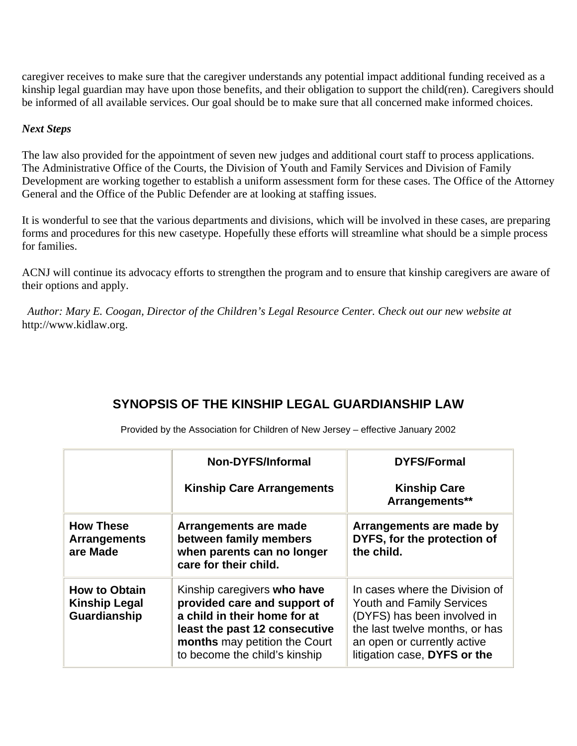caregiver receives to make sure that the caregiver understands any potential impact additional funding received as a kinship legal guardian may have upon those benefits, and their obligation to support the child(ren). Caregivers should be informed of all available services. Our goal should be to make sure that all concerned make informed choices.

#### *Next Steps*

The law also provided for the appointment of seven new judges and additional court staff to process applications. The Administrative Office of the Courts, the Division of Youth and Family Services and Division of Family Development are working together to establish a uniform assessment form for these cases. The Office of the Attorney General and the Office of the Public Defender are at looking at staffing issues.

It is wonderful to see that the various departments and divisions, which will be involved in these cases, are preparing forms and procedures for this new casetype. Hopefully these efforts will streamline what should be a simple process for families.

ACNJ will continue its advocacy efforts to strengthen the program and to ensure that kinship caregivers are aware of their options and apply.

 *Author: Mary E. Coogan, Director of the Children's Legal Resource Center. Check out our new website at*  http://www.kidlaw.org.

# **SYNOPSIS OF THE KINSHIP LEGAL GUARDIANSHIP LAW**

|                                                              | Non-DYFS/Informal                                                                                                                                                                              | <b>DYFS/Formal</b>                                                                                                                                                                                 |
|--------------------------------------------------------------|------------------------------------------------------------------------------------------------------------------------------------------------------------------------------------------------|----------------------------------------------------------------------------------------------------------------------------------------------------------------------------------------------------|
|                                                              | <b>Kinship Care Arrangements</b>                                                                                                                                                               | <b>Kinship Care</b><br>Arrangements**                                                                                                                                                              |
| <b>How These</b><br><b>Arrangements</b><br>are Made          | Arrangements are made<br>between family members<br>when parents can no longer<br>care for their child.                                                                                         | Arrangements are made by<br>DYFS, for the protection of<br>the child.                                                                                                                              |
| <b>How to Obtain</b><br><b>Kinship Legal</b><br>Guardianship | Kinship caregivers who have<br>provided care and support of<br>a child in their home for at<br>least the past 12 consecutive<br>months may petition the Court<br>to become the child's kinship | In cases where the Division of<br><b>Youth and Family Services</b><br>(DYFS) has been involved in<br>the last twelve months, or has<br>an open or currently active<br>litigation case, DYFS or the |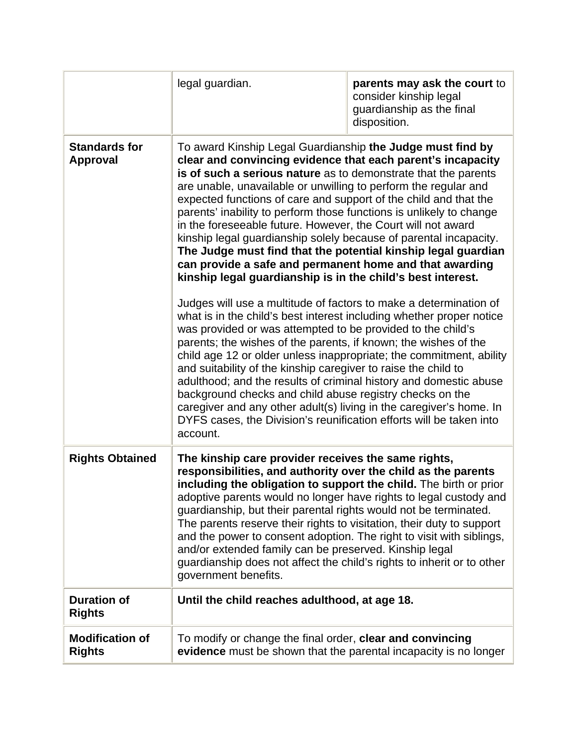|                                         | legal guardian.                                                                                                                                                                                                                                                                                                                                                                                                                                                                                                                                                                                                                                                                                                                                                                                                                                                                                                                                                                                                                                                                                                                                                                                                                                                                                                                                                                                                                                              | parents may ask the court to<br>consider kinship legal<br>guardianship as the final<br>disposition. |
|-----------------------------------------|--------------------------------------------------------------------------------------------------------------------------------------------------------------------------------------------------------------------------------------------------------------------------------------------------------------------------------------------------------------------------------------------------------------------------------------------------------------------------------------------------------------------------------------------------------------------------------------------------------------------------------------------------------------------------------------------------------------------------------------------------------------------------------------------------------------------------------------------------------------------------------------------------------------------------------------------------------------------------------------------------------------------------------------------------------------------------------------------------------------------------------------------------------------------------------------------------------------------------------------------------------------------------------------------------------------------------------------------------------------------------------------------------------------------------------------------------------------|-----------------------------------------------------------------------------------------------------|
| <b>Standards for</b><br><b>Approval</b> | To award Kinship Legal Guardianship the Judge must find by<br>clear and convincing evidence that each parent's incapacity<br>is of such a serious nature as to demonstrate that the parents<br>are unable, unavailable or unwilling to perform the regular and<br>expected functions of care and support of the child and that the<br>parents' inability to perform those functions is unlikely to change<br>in the foreseeable future. However, the Court will not award<br>kinship legal guardianship solely because of parental incapacity.<br>The Judge must find that the potential kinship legal guardian<br>can provide a safe and permanent home and that awarding<br>kinship legal guardianship is in the child's best interest.<br>Judges will use a multitude of factors to make a determination of<br>what is in the child's best interest including whether proper notice<br>was provided or was attempted to be provided to the child's<br>parents; the wishes of the parents, if known; the wishes of the<br>child age 12 or older unless inappropriate; the commitment, ability<br>and suitability of the kinship caregiver to raise the child to<br>adulthood; and the results of criminal history and domestic abuse<br>background checks and child abuse registry checks on the<br>caregiver and any other adult(s) living in the caregiver's home. In<br>DYFS cases, the Division's reunification efforts will be taken into<br>account. |                                                                                                     |
| <b>Rights Obtained</b>                  | The kinship care provider receives the same rights,<br>responsibilities, and authority over the child as the parents<br>including the obligation to support the child. The birth or prior<br>adoptive parents would no longer have rights to legal custody and<br>guardianship, but their parental rights would not be terminated.<br>The parents reserve their rights to visitation, their duty to support<br>and the power to consent adoption. The right to visit with siblings,<br>and/or extended family can be preserved. Kinship legal<br>guardianship does not affect the child's rights to inherit or to other<br>government benefits.                                                                                                                                                                                                                                                                                                                                                                                                                                                                                                                                                                                                                                                                                                                                                                                                              |                                                                                                     |
| <b>Duration of</b><br><b>Rights</b>     | Until the child reaches adulthood, at age 18.                                                                                                                                                                                                                                                                                                                                                                                                                                                                                                                                                                                                                                                                                                                                                                                                                                                                                                                                                                                                                                                                                                                                                                                                                                                                                                                                                                                                                |                                                                                                     |
| <b>Modification of</b><br><b>Rights</b> | To modify or change the final order, clear and convincing<br>evidence must be shown that the parental incapacity is no longer                                                                                                                                                                                                                                                                                                                                                                                                                                                                                                                                                                                                                                                                                                                                                                                                                                                                                                                                                                                                                                                                                                                                                                                                                                                                                                                                |                                                                                                     |